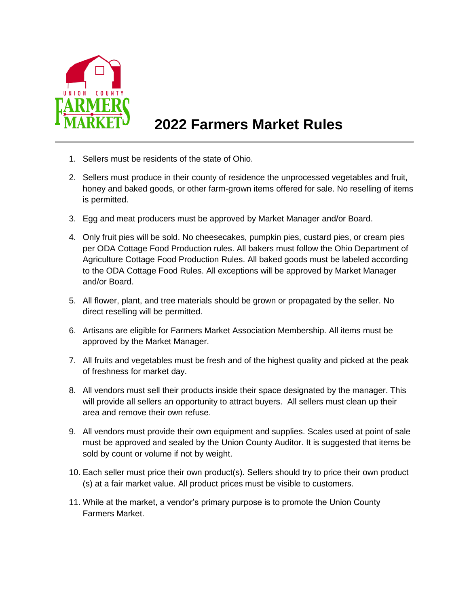

## **2022 Farmers Market Rules**

- 1. Sellers must be residents of the state of Ohio.
- 2. Sellers must produce in their county of residence the unprocessed vegetables and fruit, honey and baked goods, or other farm-grown items offered for sale. No reselling of items is permitted.
- 3. Egg and meat producers must be approved by Market Manager and/or Board.
- 4. Only fruit pies will be sold. No cheesecakes, pumpkin pies, custard pies, or cream pies per ODA Cottage Food Production rules. All bakers must follow the Ohio Department of Agriculture Cottage Food Production Rules. All baked goods must be labeled according to the ODA Cottage Food Rules. All exceptions will be approved by Market Manager and/or Board.
- 5. All flower, plant, and tree materials should be grown or propagated by the seller. No direct reselling will be permitted.
- 6. Artisans are eligible for Farmers Market Association Membership. All items must be approved by the Market Manager.
- 7. All fruits and vegetables must be fresh and of the highest quality and picked at the peak of freshness for market day.
- 8. All vendors must sell their products inside their space designated by the manager. This will provide all sellers an opportunity to attract buyers. All sellers must clean up their area and remove their own refuse.
- 9. All vendors must provide their own equipment and supplies. Scales used at point of sale must be approved and sealed by the Union County Auditor. It is suggested that items be sold by count or volume if not by weight.
- 10. Each seller must price their own product(s). Sellers should try to price their own product (s) at a fair market value. All product prices must be visible to customers.
- 11. While at the market, a vendor's primary purpose is to promote the Union County Farmers Market.